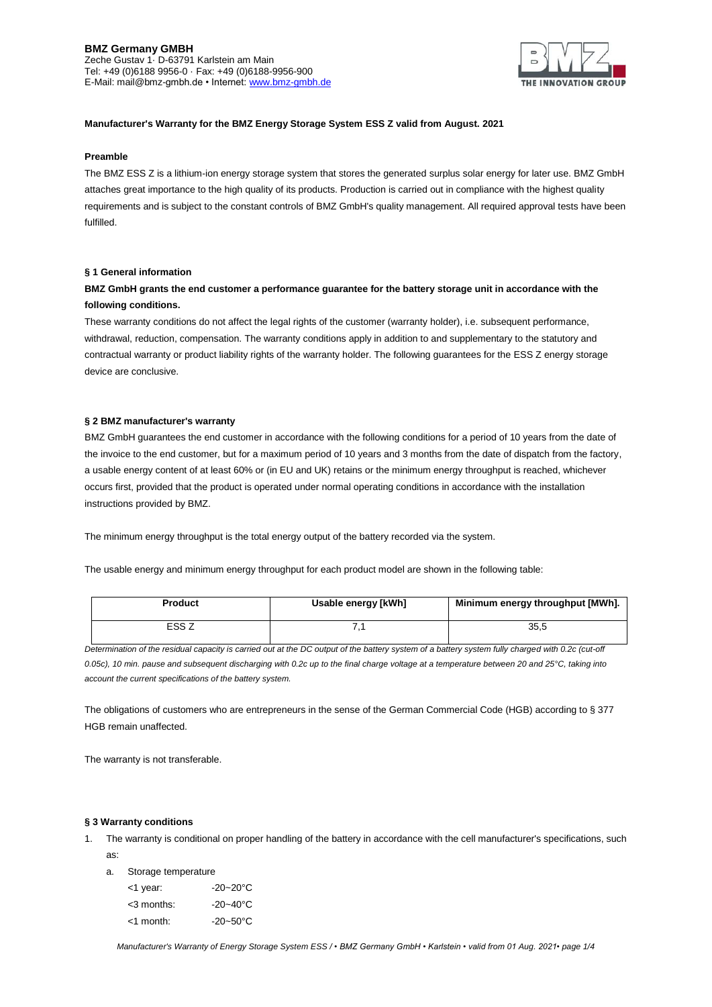### **BMZ Germany GMBH** Zeche Gustav 1· D-63791 Karlstein am Main Tel: +49 (0)6188 9956-0 · Fax: +49 (0)6188-9956-900 E-Mail: mail@bmz-gmbh.de • Internet[: www.bmz-gmbh.de](http://www.bmz-gmbh.de/)



# **Manufacturer's Warranty for the BMZ Energy Storage System ESS Z valid from August. 2021**

### **Preamble**

The BMZ ESS Z is a lithium-ion energy storage system that stores the generated surplus solar energy for later use. BMZ GmbH attaches great importance to the high quality of its products. Production is carried out in compliance with the highest quality requirements and is subject to the constant controls of BMZ GmbH's quality management. All required approval tests have been fulfilled.

### **§ 1 General information**

# **BMZ GmbH grants the end customer a performance guarantee for the battery storage unit in accordance with the following conditions.**

These warranty conditions do not affect the legal rights of the customer (warranty holder), i.e. subsequent performance, withdrawal, reduction, compensation. The warranty conditions apply in addition to and supplementary to the statutory and contractual warranty or product liability rights of the warranty holder. The following guarantees for the ESS Z energy storage device are conclusive.

#### **§ 2 BMZ manufacturer's warranty**

BMZ GmbH guarantees the end customer in accordance with the following conditions for a period of 10 years from the date of the invoice to the end customer, but for a maximum period of 10 years and 3 months from the date of dispatch from the factory, a usable energy content of at least 60% or (in EU and UK) retains or the minimum energy throughput is reached, whichever occurs first, provided that the product is operated under normal operating conditions in accordance with the installation instructions provided by BMZ.

The minimum energy throughput is the total energy output of the battery recorded via the system.

The usable energy and minimum energy throughput for each product model are shown in the following table:

| <b>Product</b> | Usable energy [kWh] | Minimum energy throughput [MWh]. |
|----------------|---------------------|----------------------------------|
| ESS Z          |                     | 35.5                             |

*Determination of the residual capacity is carried out at the DC output of the battery system of a battery system fully charged with 0.2c (cut-off 0.05c), 10 min. pause and subsequent discharging with 0.2c up to the final charge voltage at a temperature between 20 and 25°C, taking into account the current specifications of the battery system.*

The obligations of customers who are entrepreneurs in the sense of the German Commercial Code (HGB) according to § 377 HGB remain unaffected.

The warranty is not transferable.

#### **§ 3 Warranty conditions**

1. The warranty is conditional on proper handling of the battery in accordance with the cell manufacturer's specifications, such as:

a. Storage temperature

| <1 year:      | $-20 - 20^{\circ}C$  |
|---------------|----------------------|
| $<$ 3 months: | $-20 - 40^{\circ}$ C |
| <1 month:     | $-20-50$ °C          |

*Manufacturer's Warranty of Energy Storage System ESS / • BMZ Germany GmbH • Karlstein • valid from 01 Aug. 2021• page 1/4*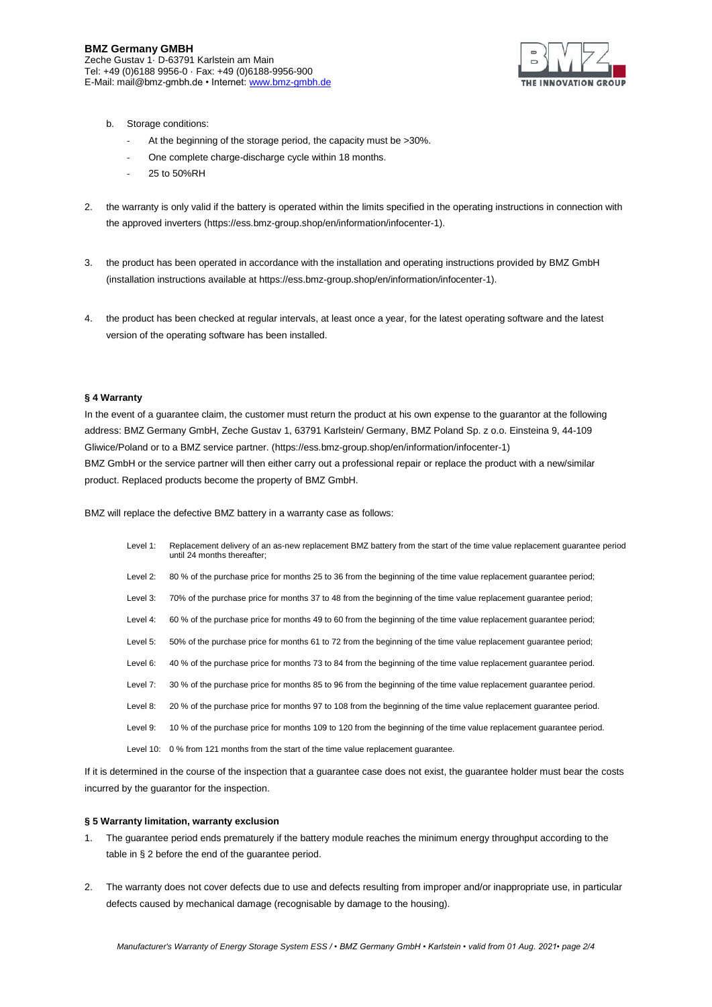

- b. Storage conditions:
	- At the beginning of the storage period, the capacity must be >30%.
	- One complete charge-discharge cycle within 18 months.
	- 25 to 50%RH
- 2. the warranty is only valid if the battery is operated within the limits specified in the operating instructions in connection with the approved inverters (https://ess.bmz-group.shop/en/information/infocenter-1).
- 3. the product has been operated in accordance with the installation and operating instructions provided by BMZ GmbH (installation instructions available at https://ess.bmz-group.shop/en/information/infocenter-1).
- 4. the product has been checked at regular intervals, at least once a year, for the latest operating software and the latest version of the operating software has been installed.

# **§ 4 Warranty**

In the event of a guarantee claim, the customer must return the product at his own expense to the guarantor at the following address: BMZ Germany GmbH, Zeche Gustav 1, 63791 Karlstein/ Germany, BMZ Poland Sp. z o.o. Einsteina 9, 44-109 Gliwice/Poland or to a BMZ service partner. (https://ess.bmz-group.shop/en/information/infocenter-1) BMZ GmbH or the service partner will then either carry out a professional repair or replace the product with a new/similar product. Replaced products become the property of BMZ GmbH.

BMZ will replace the defective BMZ battery in a warranty case as follows:

- Level 1: Replacement delivery of an as-new replacement BMZ battery from the start of the time value replacement guarantee period until 24 months thereafter;
- Level 2: 80 % of the purchase price for months 25 to 36 from the beginning of the time value replacement guarantee period;
- Level 3: 70% of the purchase price for months 37 to 48 from the beginning of the time value replacement guarantee period;
- Level 4: 60 % of the purchase price for months 49 to 60 from the beginning of the time value replacement guarantee period;
- Level 5: 50% of the purchase price for months 61 to 72 from the beginning of the time value replacement guarantee period;
- Level 6: 40 % of the purchase price for months 73 to 84 from the beginning of the time value replacement guarantee period.
- Level 7: 30 % of the purchase price for months 85 to 96 from the beginning of the time value replacement guarantee period.
- Level 8: 20 % of the purchase price for months 97 to 108 from the beginning of the time value replacement guarantee period.
- Level 9: 10 % of the purchase price for months 109 to 120 from the beginning of the time value replacement guarantee period.
- Level 10: 0 % from 121 months from the start of the time value replacement guarantee.

If it is determined in the course of the inspection that a guarantee case does not exist, the guarantee holder must bear the costs incurred by the guarantor for the inspection.

#### **§ 5 Warranty limitation, warranty exclusion**

- 1. The guarantee period ends prematurely if the battery module reaches the minimum energy throughput according to the table in § 2 before the end of the guarantee period.
- 2. The warranty does not cover defects due to use and defects resulting from improper and/or inappropriate use, in particular defects caused by mechanical damage (recognisable by damage to the housing).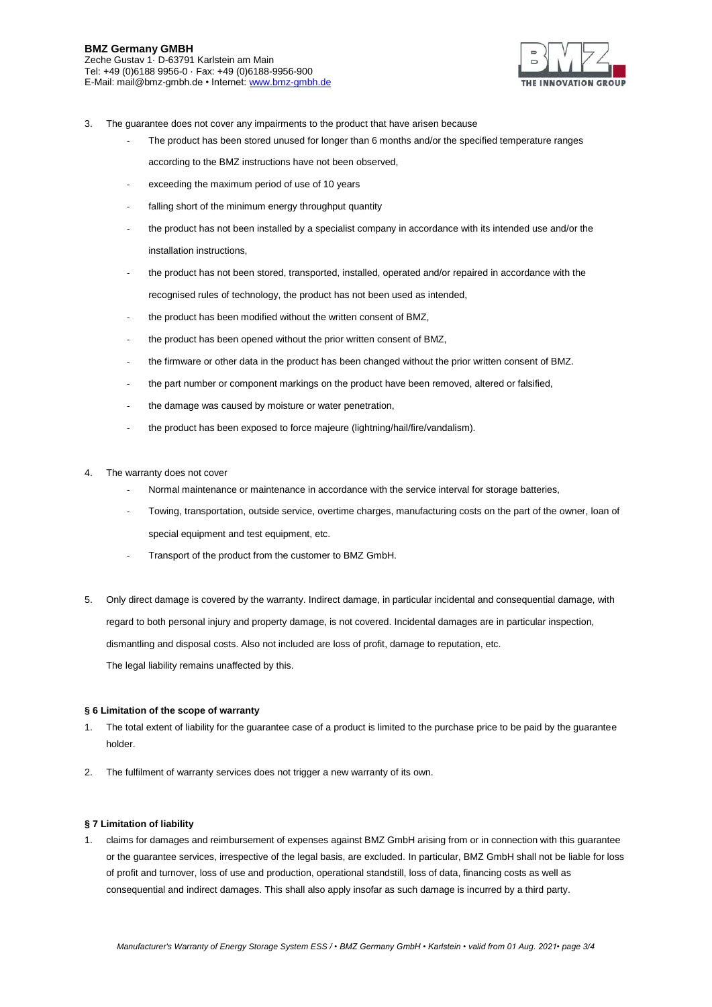

- 3. The guarantee does not cover any impairments to the product that have arisen because
	- The product has been stored unused for longer than 6 months and/or the specified temperature ranges according to the BMZ instructions have not been observed,
	- exceeding the maximum period of use of 10 years
	- falling short of the minimum energy throughput quantity
	- the product has not been installed by a specialist company in accordance with its intended use and/or the installation instructions,
	- the product has not been stored, transported, installed, operated and/or repaired in accordance with the recognised rules of technology, the product has not been used as intended,
	- the product has been modified without the written consent of BMZ,
	- the product has been opened without the prior written consent of BMZ,
	- the firmware or other data in the product has been changed without the prior written consent of BMZ.
	- the part number or component markings on the product have been removed, altered or falsified,
	- the damage was caused by moisture or water penetration,
	- the product has been exposed to force majeure (lightning/hail/fire/vandalism).
- 4. The warranty does not cover
	- Normal maintenance or maintenance in accordance with the service interval for storage batteries,
	- Towing, transportation, outside service, overtime charges, manufacturing costs on the part of the owner, loan of special equipment and test equipment, etc.
	- Transport of the product from the customer to BMZ GmbH.
- 5. Only direct damage is covered by the warranty. Indirect damage, in particular incidental and consequential damage, with regard to both personal injury and property damage, is not covered. Incidental damages are in particular inspection, dismantling and disposal costs. Also not included are loss of profit, damage to reputation, etc. The legal liability remains unaffected by this.

## **§ 6 Limitation of the scope of warranty**

- 1. The total extent of liability for the guarantee case of a product is limited to the purchase price to be paid by the guarantee holder.
- 2. The fulfilment of warranty services does not trigger a new warranty of its own.

### **§ 7 Limitation of liability**

1. claims for damages and reimbursement of expenses against BMZ GmbH arising from or in connection with this guarantee or the guarantee services, irrespective of the legal basis, are excluded. In particular, BMZ GmbH shall not be liable for loss of profit and turnover, loss of use and production, operational standstill, loss of data, financing costs as well as consequential and indirect damages. This shall also apply insofar as such damage is incurred by a third party.